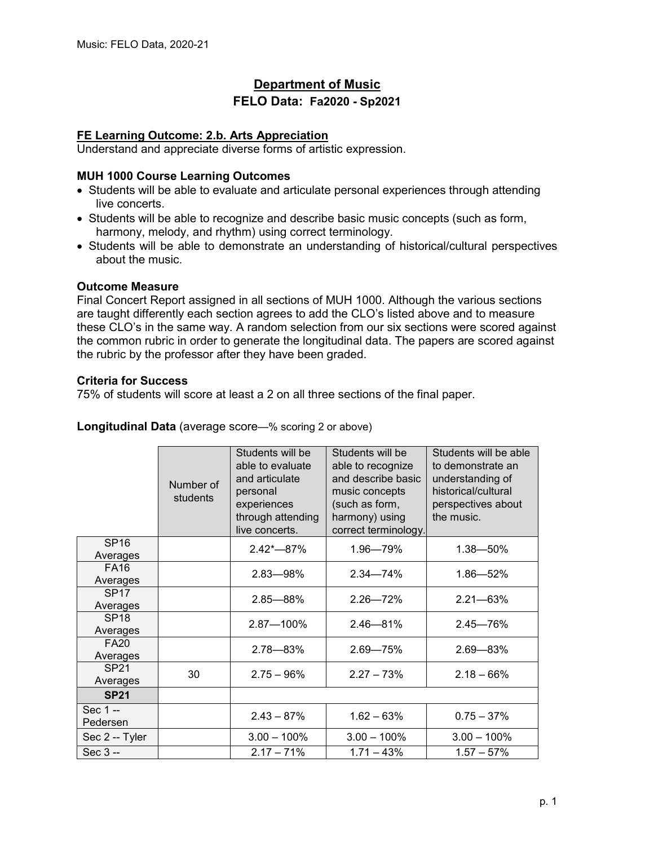# **Department of Music**

# **FELO Data: Fa2020 - Sp2021**

# **FE Learning Outcome: 2.b. Arts Appreciation**

Understand and appreciate diverse forms of artistic expression.

#### **MUH 1000 Course Learning Outcomes**

- Students will be able to evaluate and articulate personal experiences through attending live concerts.
- Students will be able to recognize and describe basic music concepts (such as form, harmony, melody, and rhythm) using correct terminology.
- Students will be able to demonstrate an understanding of historical/cultural perspectives about the music.

#### **Outcome Measure**

Final Concert Report assigned in all sections of MUH 1000. Although the various sections are taught differently each section agrees to add the CLO's listed above and to measure these CLO's in the same way. A random selection from our six sections were scored against the common rubric in order to generate the longitudinal data. The papers are scored against the rubric by the professor after they have been graded.

#### **Criteria for Success**

75% of students will score at least a 2 on all three sections of the final paper.

|                              | Number of<br>students | Students will be<br>able to evaluate<br>and articulate<br>personal<br>experiences<br>through attending<br>live concerts. | Students will be<br>able to recognize<br>and describe basic<br>music concepts<br>(such as form,<br>harmony) using<br>correct terminology. | Students will be able<br>to demonstrate an<br>understanding of<br>historical/cultural<br>perspectives about<br>the music. |
|------------------------------|-----------------------|--------------------------------------------------------------------------------------------------------------------------|-------------------------------------------------------------------------------------------------------------------------------------------|---------------------------------------------------------------------------------------------------------------------------|
| <b>SP16</b><br>Averages      |                       | $2.42 - 87%$                                                                                                             | 1.96-79%                                                                                                                                  | $1.38 - 50\%$                                                                                                             |
| <b>FA16</b><br>Averages      |                       | $2.83 - 98\%$                                                                                                            | $2.34 - 74%$                                                                                                                              | $1.86 - 52%$                                                                                                              |
| <b>SP17</b><br>Averages      |                       | $2.85 - 88%$                                                                                                             | $2.26 - 72%$                                                                                                                              | $2.21 - 63%$                                                                                                              |
| <b>SP18</b><br>Averages      |                       | 2.87-100%                                                                                                                | $2.46 - 81%$                                                                                                                              | $2.45 - 76%$                                                                                                              |
| <b>FA20</b><br>Averages      |                       | 2.78-83%                                                                                                                 | $2.69 - 75%$                                                                                                                              | $2.69 - 83%$                                                                                                              |
| SP <sub>21</sub><br>Averages | 30                    | $2.75 - 96%$                                                                                                             | $2.27 - 73%$                                                                                                                              | $2.18 - 66%$                                                                                                              |
| <b>SP21</b>                  |                       |                                                                                                                          |                                                                                                                                           |                                                                                                                           |
| Sec 1 --<br>Pedersen         |                       | $2.43 - 87%$                                                                                                             | $1.62 - 63%$                                                                                                                              | $0.75 - 37%$                                                                                                              |
| Sec 2 -- Tyler               |                       | $3.00 - 100\%$                                                                                                           | $3.00 - 100\%$                                                                                                                            | $3.00 - 100\%$                                                                                                            |
| Sec 3 --                     |                       | $2.17 - 71%$                                                                                                             | $1.71 - 43%$                                                                                                                              | $1.57 - 57\%$                                                                                                             |

**Longitudinal Data** (average score—% scoring 2 or above)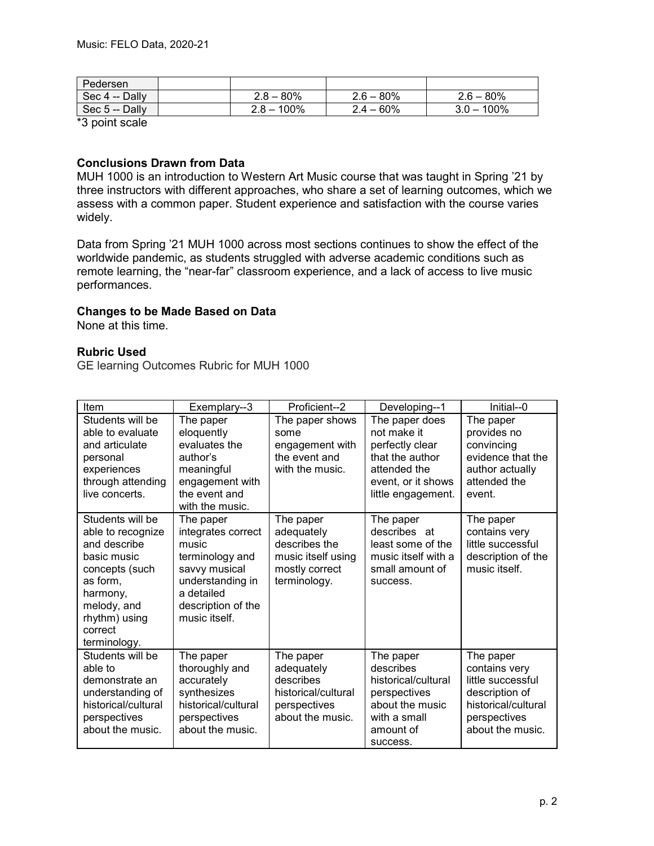| Pedersen       |                 |              |               |
|----------------|-----------------|--------------|---------------|
| Sec 4 -- Dally | $2.8 - 80\%$    | $2.6 - 80\%$ | $2.6 - 80\%$  |
| Sec 5 -- Dally | 100%<br>$2.8 -$ | $2.4 - 60\%$ | $3.0 - 100\%$ |

\*3 point scale

#### **Conclusions Drawn from Data**

MUH 1000 is an introduction to Western Art Music course that was taught in Spring '21 by three instructors with different approaches, who share a set of learning outcomes, which we assess with a common paper. Student experience and satisfaction with the course varies widely.

Data from Spring '21 MUH 1000 across most sections continues to show the effect of the worldwide pandemic, as students struggled with adverse academic conditions such as remote learning, the "near-far" classroom experience, and a lack of access to live music performances.

# **Changes to be Made Based on Data**

None at this time.

# **Rubric Used**

GE learning Outcomes Rubric for MUH 1000

| Item                                                                                                                                                                      | Exemplary--3                                                                                                                                          | Proficient--2                                                                                    | Developing--1                                                                                                                   | Initial--0                                                                                                                   |
|---------------------------------------------------------------------------------------------------------------------------------------------------------------------------|-------------------------------------------------------------------------------------------------------------------------------------------------------|--------------------------------------------------------------------------------------------------|---------------------------------------------------------------------------------------------------------------------------------|------------------------------------------------------------------------------------------------------------------------------|
| Students will be<br>able to evaluate<br>and articulate<br>personal<br>experiences<br>through attending<br>live concerts.                                                  | The paper<br>eloquently<br>evaluates the<br>author's<br>meaningful<br>engagement with<br>the event and<br>with the music.                             | The paper shows<br>some<br>engagement with<br>the event and<br>with the music.                   | The paper does<br>not make it<br>perfectly clear<br>that the author<br>attended the<br>event, or it shows<br>little engagement. | The paper<br>provides no<br>convincing<br>evidence that the<br>author actually<br>attended the<br>event.                     |
| Students will be<br>able to recognize<br>and describe<br>basic music<br>concepts (such<br>as form,<br>harmony,<br>melody, and<br>rhythm) using<br>correct<br>terminology. | The paper<br>integrates correct<br>music<br>terminology and<br>savvy musical<br>understanding in<br>a detailed<br>description of the<br>music itself. | The paper<br>adequately<br>describes the<br>music itself using<br>mostly correct<br>terminology. | The paper<br>describes at<br>least some of the<br>music itself with a<br>small amount of<br>success.                            | The paper<br>contains very<br>little successful<br>description of the<br>music itself.                                       |
| Students will be<br>able to<br>demonstrate an<br>understanding of<br>historical/cultural<br>perspectives<br>about the music.                                              | The paper<br>thoroughly and<br>accurately<br>synthesizes<br>historical/cultural<br>perspectives<br>about the music.                                   | The paper<br>adequately<br>describes<br>historical/cultural<br>perspectives<br>about the music.  | The paper<br>describes<br>historical/cultural<br>perspectives<br>about the music<br>with a small<br>amount of<br>success.       | The paper<br>contains very<br>little successful<br>description of<br>historical/cultural<br>perspectives<br>about the music. |